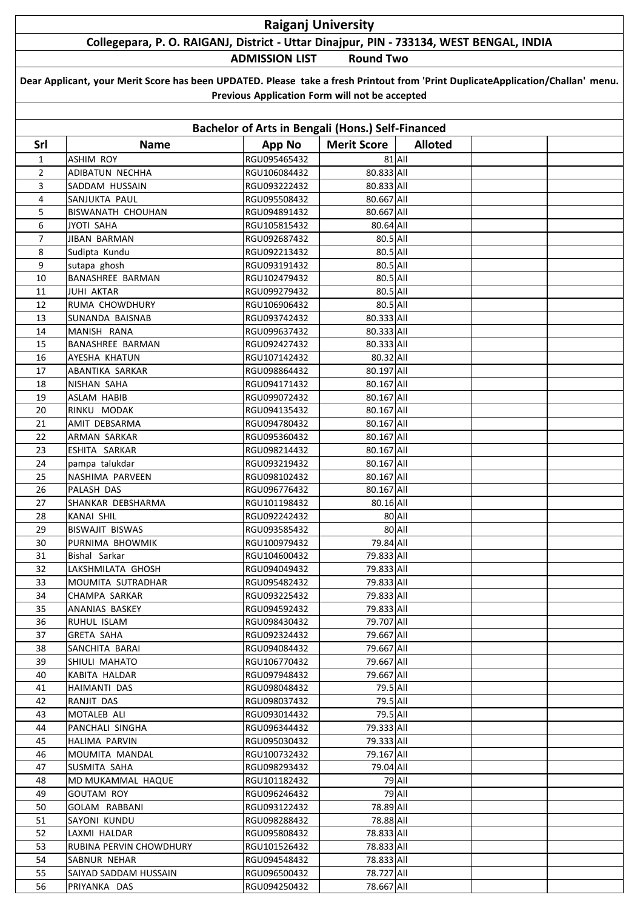## **Raiganj University**

## **Collegepara, P. O. RAIGANJ, District - Uttar Dinajpur, PIN - 733134, WEST BENGAL, INDIA**

**ADMISSION LIST Round Two**

| Dear Applicant, your Merit Score has been UPDATED. Please take a fresh Printout from 'Print DuplicateApplication/Challan' menu. |  |  |  |  |  |  |  |
|---------------------------------------------------------------------------------------------------------------------------------|--|--|--|--|--|--|--|
| Previous Application Form will not be accepted                                                                                  |  |  |  |  |  |  |  |

| Bachelor of Arts in Bengali (Hons.) Self-Financed |                         |                              |                    |                |  |  |  |  |  |
|---------------------------------------------------|-------------------------|------------------------------|--------------------|----------------|--|--|--|--|--|
| Srl                                               | <b>Name</b>             | <b>App No</b>                | <b>Merit Score</b> | <b>Alloted</b> |  |  |  |  |  |
| $\mathbf{1}$                                      | <b>ASHIM ROY</b>        | RGU095465432                 |                    | 81 All         |  |  |  |  |  |
| $\overline{2}$                                    | ADIBATUN NECHHA         | RGU106084432                 | 80.833 All         |                |  |  |  |  |  |
| 3                                                 | SADDAM HUSSAIN          | RGU093222432                 | 80.833 All         |                |  |  |  |  |  |
| 4                                                 | SANJUKTA PAUL           | RGU095508432                 | 80.667 All         |                |  |  |  |  |  |
| 5                                                 | BISWANATH CHOUHAN       | RGU094891432                 | 80.667 All         |                |  |  |  |  |  |
| 6                                                 | <b>JYOTI SAHA</b>       | RGU105815432                 | 80.64 All          |                |  |  |  |  |  |
| 7                                                 | <b>JIBAN BARMAN</b>     | RGU092687432                 | 80.5 All           |                |  |  |  |  |  |
| 8                                                 | Sudipta Kundu           | RGU092213432                 | 80.5 All           |                |  |  |  |  |  |
| 9                                                 | sutapa ghosh            | RGU093191432                 | 80.5 All           |                |  |  |  |  |  |
| 10                                                | BANASHREE BARMAN        | RGU102479432                 | 80.5 All           |                |  |  |  |  |  |
| 11                                                | JUHI AKTAR              | RGU099279432                 | 80.5 All           |                |  |  |  |  |  |
| 12                                                | RUMA CHOWDHURY          | RGU106906432                 | 80.5 All           |                |  |  |  |  |  |
| 13                                                | SUNANDA BAISNAB         | RGU093742432                 | 80.333 All         |                |  |  |  |  |  |
| 14                                                | MANISH RANA             | RGU099637432                 | 80.333 All         |                |  |  |  |  |  |
| 15                                                | BANASHREE BARMAN        | RGU092427432                 | 80.333 All         |                |  |  |  |  |  |
| 16                                                | AYESHA KHATUN           | RGU107142432                 | 80.32 All          |                |  |  |  |  |  |
| 17                                                | ABANTIKA SARKAR         | RGU098864432                 | 80.197 All         |                |  |  |  |  |  |
| 18                                                | NISHAN SAHA             | RGU094171432                 | 80.167 All         |                |  |  |  |  |  |
| 19                                                | ASLAM HABIB             | RGU099072432                 | 80.167 All         |                |  |  |  |  |  |
| 20                                                | RINKU MODAK             | RGU094135432                 | 80.167 All         |                |  |  |  |  |  |
| 21                                                | <b>AMIT DEBSARMA</b>    | RGU094780432                 | 80.167 All         |                |  |  |  |  |  |
| 22                                                | ARMAN SARKAR            | RGU095360432                 | 80.167 All         |                |  |  |  |  |  |
| 23                                                | ESHITA SARKAR           | RGU098214432                 | 80.167 All         |                |  |  |  |  |  |
| 24                                                | pampa talukdar          | RGU093219432                 | 80.167 All         |                |  |  |  |  |  |
| 25                                                | NASHIMA PARVEEN         | RGU098102432                 | 80.167 All         |                |  |  |  |  |  |
| 26                                                | PALASH DAS              | RGU096776432                 | 80.167 All         |                |  |  |  |  |  |
| 27                                                | SHANKAR DEBSHARMA       | RGU101198432                 | 80.16 All          |                |  |  |  |  |  |
| 28                                                | KANAI SHIL              | RGU092242432                 |                    | 80 All         |  |  |  |  |  |
| 29                                                | BISWAJIT BISWAS         | RGU093585432                 |                    | 80 All         |  |  |  |  |  |
| 30                                                | PURNIMA BHOWMIK         | RGU100979432                 | 79.84 All          |                |  |  |  |  |  |
| 31                                                | Bishal Sarkar           |                              | 79.833 All         |                |  |  |  |  |  |
| 32                                                | LAKSHMILATA GHOSH       | RGU104600432<br>RGU094049432 | 79.833 All         |                |  |  |  |  |  |
|                                                   |                         |                              |                    |                |  |  |  |  |  |
| 33                                                | MOUMITA SUTRADHAR       | RGU095482432                 | 79.833 All         |                |  |  |  |  |  |
| 34                                                | CHAMPA SARKAR           | RGU093225432                 | 79.833 All         |                |  |  |  |  |  |
| 35                                                | ANANIAS BASKEY          | RGU094592432                 | 79.833 All         |                |  |  |  |  |  |
| 36                                                | RUHUL ISLAM             | RGU098430432                 | 79.707 All         |                |  |  |  |  |  |
| 37                                                | GRETA SAHA              | RGU092324432                 | 79.667 All         |                |  |  |  |  |  |
| 38                                                | SANCHITA BARAI          | RGU094084432                 | 79.667 All         |                |  |  |  |  |  |
| 39                                                | SHIULI MAHATO           | RGU106770432                 | 79.667 All         |                |  |  |  |  |  |
| 40                                                | KABITA HALDAR           | RGU097948432                 | 79.667 All         |                |  |  |  |  |  |
| 41                                                | HAIMANTI DAS            | RGU098048432                 | 79.5 All           |                |  |  |  |  |  |
| 42                                                | RANJIT DAS              | RGU098037432                 | 79.5 All           |                |  |  |  |  |  |
| 43                                                | MOTALEB ALI             | RGU093014432                 | 79.5 All           |                |  |  |  |  |  |
| 44                                                | PANCHALI SINGHA         | RGU096344432                 | 79.333 All         |                |  |  |  |  |  |
| 45                                                | HALIMA PARVIN           | RGU095030432                 | 79.333 All         |                |  |  |  |  |  |
| 46                                                | MOUMITA MANDAL          | RGU100732432                 | 79.167 All         |                |  |  |  |  |  |
| 47                                                | SUSMITA SAHA            | RGU098293432                 | 79.04 All          |                |  |  |  |  |  |
| 48                                                | MD MUKAMMAL HAQUE       | RGU101182432                 |                    | 79 All         |  |  |  |  |  |
| 49                                                | <b>GOUTAM ROY</b>       | RGU096246432                 |                    | 79 All         |  |  |  |  |  |
| 50                                                | GOLAM RABBANI           | RGU093122432                 | 78.89 All          |                |  |  |  |  |  |
| 51                                                | SAYONI KUNDU            | RGU098288432                 | 78.88 All          |                |  |  |  |  |  |
| 52                                                | LAXMI HALDAR            | RGU095808432                 | 78.833 All         |                |  |  |  |  |  |
| 53                                                | RUBINA PERVIN CHOWDHURY | RGU101526432                 | 78.833 All         |                |  |  |  |  |  |
| 54                                                | SABNUR NEHAR            | RGU094548432                 | 78.833 All         |                |  |  |  |  |  |
| 55                                                | SAIYAD SADDAM HUSSAIN   | RGU096500432                 | 78.727 All         |                |  |  |  |  |  |
| 56                                                | PRIYANKA DAS            | RGU094250432                 | 78.667 All         |                |  |  |  |  |  |
|                                                   |                         |                              |                    |                |  |  |  |  |  |